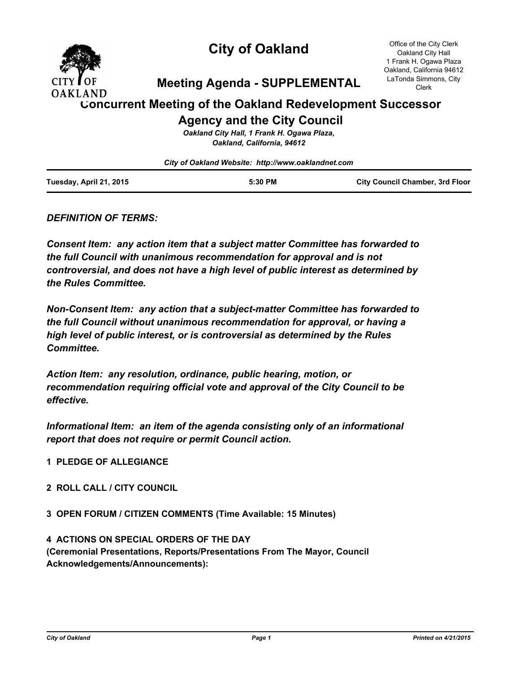

# **City of Oakland**

Office of the City Clerk Oakland City Hall 1 Frank H. Ogawa Plaza Oakland, California 94612 LaTonda Simmons, City Clerk

# **Meeting Agenda - SUPPLEMENTAL**

# **Concurrent Meeting of the Oakland Redevelopment Successor Agency and the City Council**

*Oakland City Hall, 1 Frank H. Ogawa Plaza, Oakland, California, 94612*

*City of Oakland Website: http://www.oaklandnet.com*

### *DEFINITION OF TERMS:*

*Consent Item: any action item that a subject matter Committee has forwarded to the full Council with unanimous recommendation for approval and is not controversial, and does not have a high level of public interest as determined by the Rules Committee.*

*Non-Consent Item: any action that a subject-matter Committee has forwarded to the full Council without unanimous recommendation for approval, or having a high level of public interest, or is controversial as determined by the Rules Committee.*

*Action Item: any resolution, ordinance, public hearing, motion, or recommendation requiring official vote and approval of the City Council to be effective.*

*Informational Item: an item of the agenda consisting only of an informational report that does not require or permit Council action.*

- **1 PLEDGE OF ALLEGIANCE**
- **2 ROLL CALL / CITY COUNCIL**
- **3 OPEN FORUM / CITIZEN COMMENTS (Time Available: 15 Minutes)**

**4 ACTIONS ON SPECIAL ORDERS OF THE DAY (Ceremonial Presentations, Reports/Presentations From The Mayor, Council Acknowledgements/Announcements):**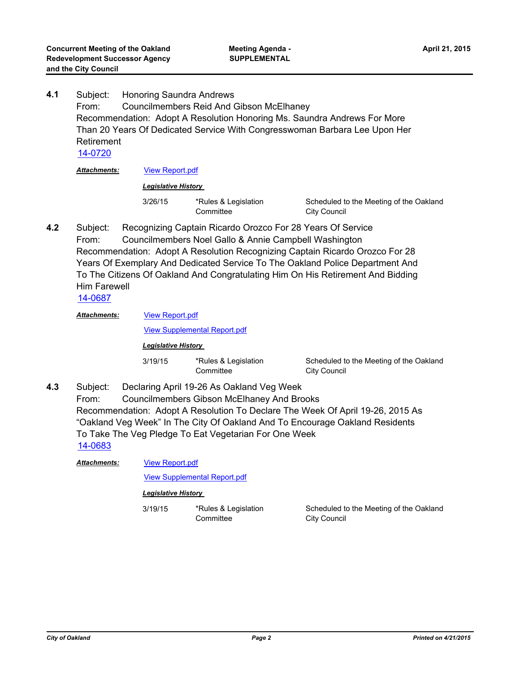Subject: Honoring Saundra Andrews From: Councilmembers Reid And Gibson McElhaney Recommendation: Adopt A Resolution Honoring Ms. Saundra Andrews For More Than 20 Years Of Dedicated Service With Congresswoman Barbara Lee Upon Her Retirement **4.1** [14-0720](http://oakland.legistar.com/gateway.aspx?m=l&id=/matter.aspx?key=24699) *Attachments:* [View Report.pdf](http://oakland.legistar.com/gateway.aspx?M=F&ID=0c6d3188-be2d-48ce-abbf-ee283b1f1325.pdf)

*Legislative History* 

3/26/15 \*Rules & Legislation **Committee** 

Scheduled to the Meeting of the Oakland City Council

Subject: Recognizing Captain Ricardo Orozco For 28 Years Of Service From: Councilmembers Noel Gallo & Annie Campbell Washington Recommendation: Adopt A Resolution Recognizing Captain Ricardo Orozco For 28 Years Of Exemplary And Dedicated Service To The Oakland Police Department And To The Citizens Of Oakland And Congratulating Him On His Retirement And Bidding Him Farewell **4.2**

[14-0687](http://oakland.legistar.com/gateway.aspx?m=l&id=/matter.aspx?key=24666)

[View Report.pdf](http://oakland.legistar.com/gateway.aspx?M=F&ID=81ee09f0-2da4-4eb9-b57d-5b69e95d3a59.pdf) *Attachments:*

[View Supplemental Report.pdf](http://oakland.legistar.com/gateway.aspx?M=F&ID=7022ccb3-6914-47ee-84f1-b6e7978ae06c.pdf)

*Legislative History* 

3/19/15 \*Rules & Legislation **Committee** 

Scheduled to the Meeting of the Oakland City Council

Subject: Declaring April 19-26 As Oakland Veg Week From: Councilmembers Gibson McElhaney And Brooks Recommendation: Adopt A Resolution To Declare The Week Of April 19-26, 2015 As "Oakland Veg Week" In The City Of Oakland And To Encourage Oakland Residents To Take The Veg Pledge To Eat Vegetarian For One Week **4.3** [14-0683](http://oakland.legistar.com/gateway.aspx?m=l&id=/matter.aspx?key=24662)

[View Report.pdf](http://oakland.legistar.com/gateway.aspx?M=F&ID=7bbb812e-d8a7-4732-bb6f-337c1ec1c562.pdf) *Attachments:*

[View Supplemental Report.pdf](http://oakland.legistar.com/gateway.aspx?M=F&ID=a07f1cd1-56bd-4de3-b43a-9fb5a749eddb.pdf)

#### *Legislative History*

3/19/15 \*Rules & Legislation **Committee** 

Scheduled to the Meeting of the Oakland City Council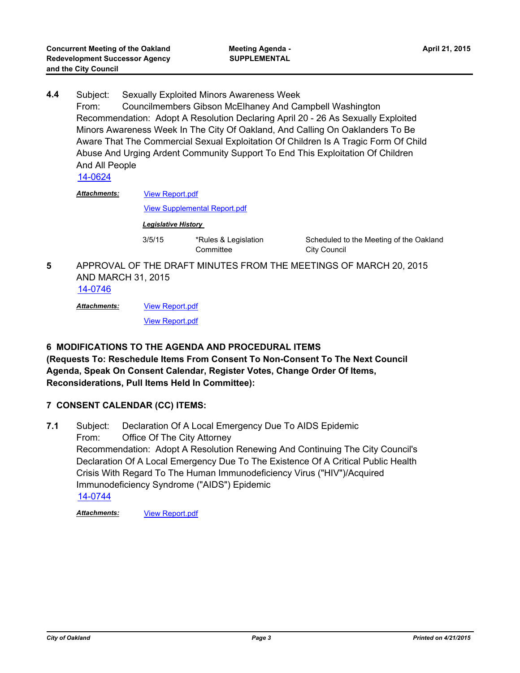Subject: Sexually Exploited Minors Awareness Week From: Councilmembers Gibson McElhaney And Campbell Washington Recommendation: Adopt A Resolution Declaring April 20 - 26 As Sexually Exploited Minors Awareness Week In The City Of Oakland, And Calling On Oaklanders To Be Aware That The Commercial Sexual Exploitation Of Children Is A Tragic Form Of Child Abuse And Urging Ardent Community Support To End This Exploitation Of Children And All People **4.4**

[14-0624](http://oakland.legistar.com/gateway.aspx?m=l&id=/matter.aspx?key=24603)

[View Report.pdf](http://oakland.legistar.com/gateway.aspx?M=F&ID=c909dcbf-861a-47ad-a4e3-9e61c3712202.pdf) *Attachments:*

[View Supplemental Report.pdf](http://oakland.legistar.com/gateway.aspx?M=F&ID=e323b320-605e-4e5d-8580-a8fb9a6a39a7.pdf)

*Legislative History* 

3/5/15 \*Rules & Legislation **Committee** 

Scheduled to the Meeting of the Oakland City Council

APPROVAL OF THE DRAFT MINUTES FROM THE MEETINGS OF MARCH 20, 2015 AND MARCH 31, 2015 **5**

[14-0746](http://oakland.legistar.com/gateway.aspx?m=l&id=/matter.aspx?key=24725)

[View Report.pdf](http://oakland.legistar.com/gateway.aspx?M=F&ID=2c29d2b5-63ed-460c-b12c-69614d08ef7f.pdf) *Attachments:*

[View Report.pdf](http://oakland.legistar.com/gateway.aspx?M=F&ID=3642e56d-ab6d-4c6c-9d03-bc4275d2a330.pdf)

### **6 MODIFICATIONS TO THE AGENDA AND PROCEDURAL ITEMS**

**(Requests To: Reschedule Items From Consent To Non-Consent To The Next Council Agenda, Speak On Consent Calendar, Register Votes, Change Order Of Items, Reconsiderations, Pull Items Held In Committee):**

### **7 CONSENT CALENDAR (CC) ITEMS:**

Subject: Declaration Of A Local Emergency Due To AIDS Epidemic From: Office Of The City Attorney Recommendation: Adopt A Resolution Renewing And Continuing The City Council's Declaration Of A Local Emergency Due To The Existence Of A Critical Public Health Crisis With Regard To The Human Immunodeficiency Virus ("HIV")/Acquired Immunodeficiency Syndrome ("AIDS") Epidemic **7.1** [14-0744](http://oakland.legistar.com/gateway.aspx?m=l&id=/matter.aspx?key=24723)

*Attachments:* [View Report.pdf](http://oakland.legistar.com/gateway.aspx?M=F&ID=66a49ec1-c53e-42f5-bd96-642bd66979ef.pdf)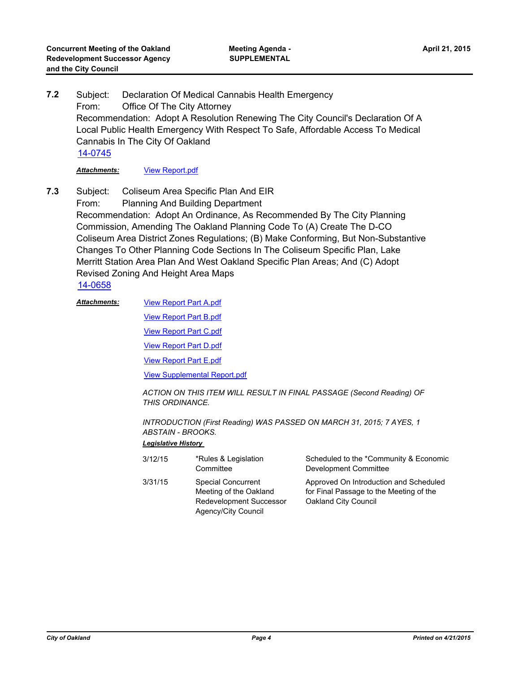Subject: Declaration Of Medical Cannabis Health Emergency From: Office Of The City Attorney Recommendation: Adopt A Resolution Renewing The City Council's Declaration Of A Local Public Health Emergency With Respect To Safe, Affordable Access To Medical Cannabis In The City Of Oakland **7.2** [14-0745](http://oakland.legistar.com/gateway.aspx?m=l&id=/matter.aspx?key=24724)

*Attachments:* [View Report.pdf](http://oakland.legistar.com/gateway.aspx?M=F&ID=ea310e11-b674-465f-bd87-de0000b21f83.pdf)

Subject: Coliseum Area Specific Plan And EIR From: Planning And Building Department Recommendation: Adopt An Ordinance, As Recommended By The City Planning Commission, Amending The Oakland Planning Code To (A) Create The D-CO Coliseum Area District Zones Regulations; (B) Make Conforming, But Non-Substantive Changes To Other Planning Code Sections In The Coliseum Specific Plan, Lake Merritt Station Area Plan And West Oakland Specific Plan Areas; And (C) Adopt Revised Zoning And Height Area Maps **7.3**

[14-0658](http://oakland.legistar.com/gateway.aspx?m=l&id=/matter.aspx?key=24637)

[View Report Part A.pdf](http://oakland.legistar.com/gateway.aspx?M=F&ID=e36b2f61-ade2-40bf-94bc-6ff178f3d438.pdf) [View Report Part B.pdf](http://oakland.legistar.com/gateway.aspx?M=F&ID=5c2e5b0b-36f9-4483-966c-a62b841b6159.pdf) [View Report Part C.pdf](http://oakland.legistar.com/gateway.aspx?M=F&ID=f57038c2-96b5-4273-94a8-5057f971281e.pdf) [View Report Part D.pdf](http://oakland.legistar.com/gateway.aspx?M=F&ID=a858421d-1a98-4401-b0c0-2de04c5cf68b.pdf) [View Report Part E.pdf](http://oakland.legistar.com/gateway.aspx?M=F&ID=8682fa91-cdcc-4635-b1b6-ec840c992488.pdf) [View Supplemental Report.pdf](http://oakland.legistar.com/gateway.aspx?M=F&ID=50557b93-4f8f-43b6-b5a5-8fe0ce5e420e.pdf) *Attachments:*

> *ACTION ON THIS ITEM WILL RESULT IN FINAL PASSAGE (Second Reading) OF THIS ORDINANCE.*

*INTRODUCTION (First Reading) WAS PASSED ON MARCH 31, 2015; 7 AYES, 1 ABSTAIN - BROOKS.*

| 3/12/15 | *Rules & Legislation<br>Committee                                                                            | Scheduled to the *Community & Economic<br>Development Committee                                           |
|---------|--------------------------------------------------------------------------------------------------------------|-----------------------------------------------------------------------------------------------------------|
| 3/31/15 | <b>Special Concurrent</b><br>Meeting of the Oakland<br><b>Redevelopment Successor</b><br>Agency/City Council | Approved On Introduction and Scheduled<br>for Final Passage to the Meeting of the<br>Oakland City Council |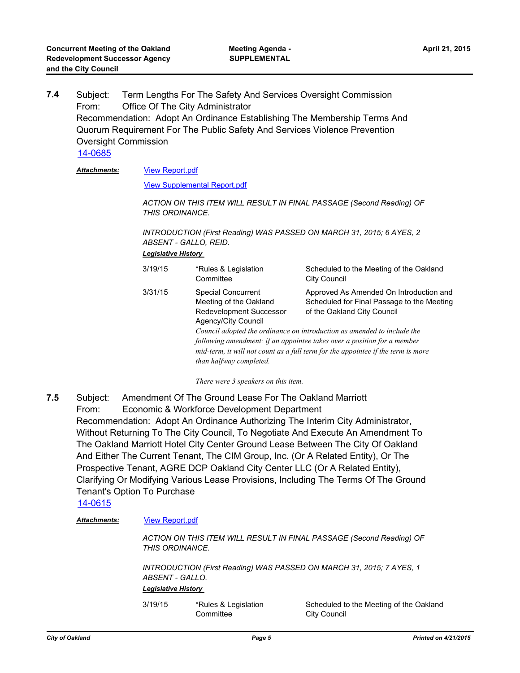Subject: Term Lengths For The Safety And Services Oversight Commission From: Office Of The City Administrator Recommendation: Adopt An Ordinance Establishing The Membership Terms And Quorum Requirement For The Public Safety And Services Violence Prevention Oversight Commission **7.4** [14-0685](http://oakland.legistar.com/gateway.aspx?m=l&id=/matter.aspx?key=24664)

#### [View Report.pdf](http://oakland.legistar.com/gateway.aspx?M=F&ID=82023a65-1d3a-4fa1-a922-5643cb9c36fe.pdf) *Attachments:*

[View Supplemental Report.pdf](http://oakland.legistar.com/gateway.aspx?M=F&ID=bb05b689-6996-475b-ba3f-94fc03d65b12.pdf)

*ACTION ON THIS ITEM WILL RESULT IN FINAL PASSAGE (Second Reading) OF THIS ORDINANCE.*

*INTRODUCTION (First Reading) WAS PASSED ON MARCH 31, 2015; 6 AYES, 2 ABSENT - GALLO, REID.*

#### *Legislative History*

| 3/19/15 | *Rules & Legislation<br>Committee                                                                                                | Scheduled to the Meeting of the Oakland<br><b>City Council</b>                                                                                                                                                                                                                                                                                                 |
|---------|----------------------------------------------------------------------------------------------------------------------------------|----------------------------------------------------------------------------------------------------------------------------------------------------------------------------------------------------------------------------------------------------------------------------------------------------------------------------------------------------------------|
| 3/31/15 | <b>Special Concurrent</b><br>Meeting of the Oakland<br>Redevelopment Successor<br>Agency/City Council<br>than halfway completed. | Approved As Amended On Introduction and<br>Scheduled for Final Passage to the Meeting<br>of the Oakland City Council<br>Council adopted the ordinance on introduction as amended to include the<br>following amendment: if an appointee takes over a position for a member<br>mid-term, it will not count as a full term for the appointee if the term is more |

*There were 3 speakers on this item.*

Subject: Amendment Of The Ground Lease For The Oakland Marriott From: Economic & Workforce Development Department Recommendation: Adopt An Ordinance Authorizing The Interim City Administrator, Without Returning To The City Council, To Negotiate And Execute An Amendment To The Oakland Marriott Hotel City Center Ground Lease Between The City Of Oakland And Either The Current Tenant, The CIM Group, Inc. (Or A Related Entity), Or The Prospective Tenant, AGRE DCP Oakland City Center LLC (Or A Related Entity), Clarifying Or Modifying Various Lease Provisions, Including The Terms Of The Ground Tenant's Option To Purchase **7.5**

[14-0615](http://oakland.legistar.com/gateway.aspx?m=l&id=/matter.aspx?key=24594)

#### *Attachments:* [View Report.pdf](http://oakland.legistar.com/gateway.aspx?M=F&ID=d12845ba-1627-4db0-9e7d-453ab39be733.pdf)

*ACTION ON THIS ITEM WILL RESULT IN FINAL PASSAGE (Second Reading) OF THIS ORDINANCE.*

*INTRODUCTION (First Reading) WAS PASSED ON MARCH 31, 2015; 7 AYES, 1 ABSENT - GALLO.*

#### *Legislative History*

3/19/15 \*Rules & Legislation **Committee** 

Scheduled to the Meeting of the Oakland City Council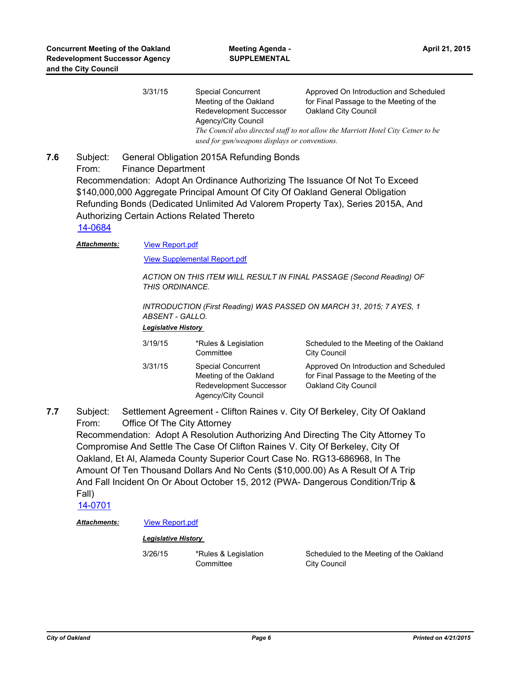| 3/31/15 | Special Concurrent<br>Meeting of the Oakland                                                                                       | Approved On Introduction and Scheduled<br>for Final Passage to the Meeting of the |  |
|---------|------------------------------------------------------------------------------------------------------------------------------------|-----------------------------------------------------------------------------------|--|
|         | Redevelopment Successor<br>Agency/City Council                                                                                     | Oakland City Council                                                              |  |
|         | The Council also directed staff to not allow the Marriott Hotel City Cetner to be<br>used for gun/weapons displays or conventions. |                                                                                   |  |

#### Subject: General Obligation 2015A Refunding Bonds From: Finance Department Recommendation: Adopt An Ordinance Authorizing The Issuance Of Not To Exceed \$140,000,000 Aggregate Principal Amount Of City Of Oakland General Obligation Refunding Bonds (Dedicated Unlimited Ad Valorem Property Tax), Series 2015A, And Authorizing Certain Actions Related Thereto **7.6**

#### [14-0684](http://oakland.legistar.com/gateway.aspx?m=l&id=/matter.aspx?key=24663)

#### [View Report.pdf](http://oakland.legistar.com/gateway.aspx?M=F&ID=a7575b98-ef66-4140-9e9e-d59f472f6aa0.pdf) *Attachments:*

[View Supplemental Report.pdf](http://oakland.legistar.com/gateway.aspx?M=F&ID=2c6cef5f-06c3-421d-98e2-36ed14f748ac.pdf)

*ACTION ON THIS ITEM WILL RESULT IN FINAL PASSAGE (Second Reading) OF THIS ORDINANCE.*

*INTRODUCTION (First Reading) WAS PASSED ON MARCH 31, 2015; 7 AYES, 1 ABSENT - GALLO.*

#### *Legislative History*

| 3/19/15 | *Rules & Legislation<br>Committee                                                              | Scheduled to the Meeting of the Oakland<br><b>City Council</b>                                            |
|---------|------------------------------------------------------------------------------------------------|-----------------------------------------------------------------------------------------------------------|
| 3/31/15 | Special Concurrent<br>Meeting of the Oakland<br>Redevelopment Successor<br>Agency/City Council | Approved On Introduction and Scheduled<br>for Final Passage to the Meeting of the<br>Oakland City Council |

Subject: Settlement Agreement - Clifton Raines v. City Of Berkeley, City Of Oakland From: Office Of The City Attorney Recommendation: Adopt A Resolution Authorizing And Directing The City Attorney To Compromise And Settle The Case Of Clifton Raines V. City Of Berkeley, City Of Oakland, Et Al, Alameda County Superior Court Case No. RG13-686968, In The Amount Of Ten Thousand Dollars And No Cents (\$10,000.00) As A Result Of A Trip And Fall Incident On Or About October 15, 2012 (PWA- Dangerous Condition/Trip & Fall) **7.7**

[14-0701](http://oakland.legistar.com/gateway.aspx?m=l&id=/matter.aspx?key=24680)

#### *Attachments:* [View Report.pdf](http://oakland.legistar.com/gateway.aspx?M=F&ID=41addd05-0047-422b-8e78-ae2d2c64cef5.pdf)

#### *Legislative History*

3/26/15 \*Rules & Legislation **Committee** 

Scheduled to the Meeting of the Oakland City Council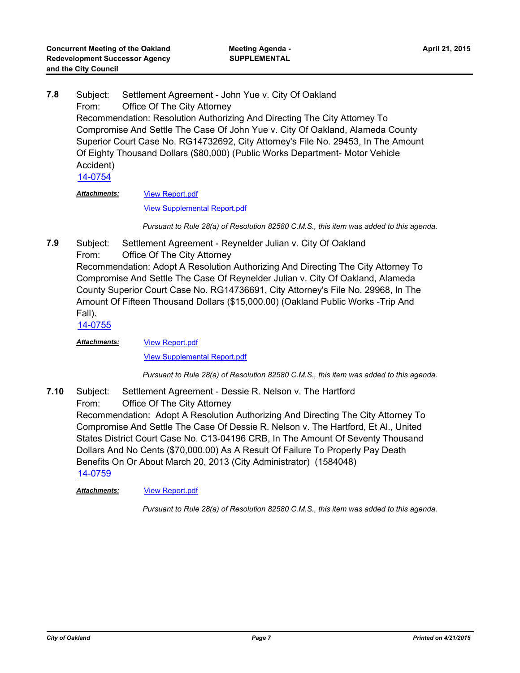Subject: Settlement Agreement - John Yue v. City Of Oakland From: Office Of The City Attorney Recommendation: Resolution Authorizing And Directing The City Attorney To Compromise And Settle The Case Of John Yue v. City Of Oakland, Alameda County Superior Court Case No. RG14732692, City Attorney's File No. 29453, In The Amount Of Eighty Thousand Dollars (\$80,000) (Public Works Department- Motor Vehicle Accident) **7.8** [14-0754](http://oakland.legistar.com/gateway.aspx?m=l&id=/matter.aspx?key=24733)

*Attachments:*

# [View Report.pdf](http://oakland.legistar.com/gateway.aspx?M=F&ID=99c37136-819a-4004-8885-8fee61ce98ce.pdf)

[View Supplemental Report.pdf](http://oakland.legistar.com/gateway.aspx?M=F&ID=aee1065e-fbf7-44a0-88f8-058fc48179af.pdf)

*Pursuant to Rule 28(a) of Resolution 82580 C.M.S., this item was added to this agenda.*

- Subject: Settlement Agreement Reynelder Julian v. City Of Oakland
- From: Office Of The City Attorney

Recommendation: Adopt A Resolution Authorizing And Directing The City Attorney To Compromise And Settle The Case Of Reynelder Julian v. City Of Oakland, Alameda County Superior Court Case No. RG14736691, City Attorney's File No. 29968, In The Amount Of Fifteen Thousand Dollars (\$15,000.00) (Oakland Public Works -Trip And Fall).

[14-0755](http://oakland.legistar.com/gateway.aspx?m=l&id=/matter.aspx?key=24734)

**7.9**

[View Report.pdf](http://oakland.legistar.com/gateway.aspx?M=F&ID=0fa62f3e-b106-4284-8e79-2dd4829fb50a.pdf) *Attachments:*

[View Supplemental Report.pdf](http://oakland.legistar.com/gateway.aspx?M=F&ID=ca80ec32-a563-4ad5-a46c-00f28bdb7d8a.pdf)

*Pursuant to Rule 28(a) of Resolution 82580 C.M.S., this item was added to this agenda.*

Subject: Settlement Agreement - Dessie R. Nelson v. The Hartford From: Office Of The City Attorney Recommendation: Adopt A Resolution Authorizing And Directing The City Attorney To Compromise And Settle The Case Of Dessie R. Nelson v. The Hartford, Et Al., United States District Court Case No. C13-04196 CRB, In The Amount Of Seventy Thousand Dollars And No Cents (\$70,000.00) As A Result Of Failure To Properly Pay Death Benefits On Or About March 20, 2013 (City Administrator) (1584048) **7.10** [14-0759](http://oakland.legistar.com/gateway.aspx?m=l&id=/matter.aspx?key=24738)

#### *Attachments:* [View Report.pdf](http://oakland.legistar.com/gateway.aspx?M=F&ID=9756a374-1f01-4411-93ce-2ec0d64900ce.pdf)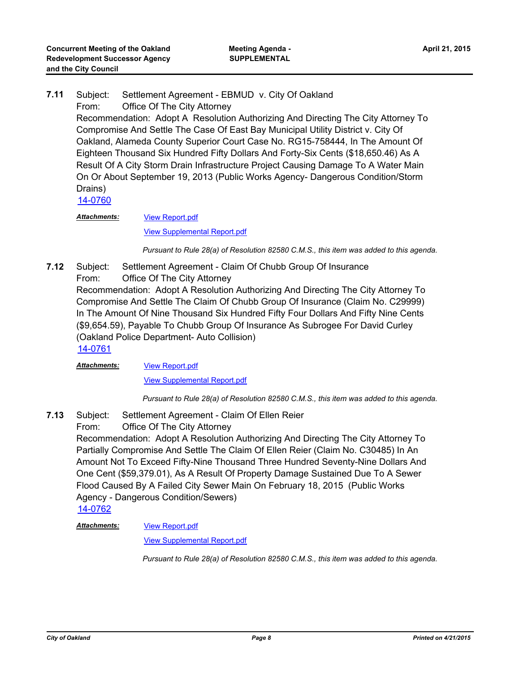Subject: Settlement Agreement - EBMUD v. City Of Oakland From: Office Of The City Attorney Recommendation: Adopt A Resolution Authorizing And Directing The City Attorney To Compromise And Settle The Case Of East Bay Municipal Utility District v. City Of Oakland, Alameda County Superior Court Case No. RG15-758444, In The Amount Of Eighteen Thousand Six Hundred Fifty Dollars And Forty-Six Cents (\$18,650.46) As A Result Of A City Storm Drain Infrastructure Project Causing Damage To A Water Main On Or About September 19, 2013 (Public Works Agency- Dangerous Condition/Storm Drains) **7.11** [14-0760](http://oakland.legistar.com/gateway.aspx?m=l&id=/matter.aspx?key=24739)

[View Report.pdf](http://oakland.legistar.com/gateway.aspx?M=F&ID=a93f4b1c-4ecc-4dea-96ce-fcd80d8c8bf2.pdf) *Attachments:*

[View Supplemental Report.pdf](http://oakland.legistar.com/gateway.aspx?M=F&ID=124a17a3-7a1a-45e5-a539-339071a94a0c.pdf)

*Pursuant to Rule 28(a) of Resolution 82580 C.M.S., this item was added to this agenda.*

Subject: Settlement Agreement - Claim Of Chubb Group Of Insurance From: Office Of The City Attorney Recommendation: Adopt A Resolution Authorizing And Directing The City Attorney To Compromise And Settle The Claim Of Chubb Group Of Insurance (Claim No. C29999) In The Amount Of Nine Thousand Six Hundred Fifty Four Dollars And Fifty Nine Cents (\$9,654.59), Payable To Chubb Group Of Insurance As Subrogee For David Curley (Oakland Police Department- Auto Collision) **7.12** [14-0761](http://oakland.legistar.com/gateway.aspx?m=l&id=/matter.aspx?key=24740)

[View Report.pdf](http://oakland.legistar.com/gateway.aspx?M=F&ID=7815e78b-bbec-4427-bdfe-eb741163a296.pdf) *Attachments:*

[View Supplemental Report.pdf](http://oakland.legistar.com/gateway.aspx?M=F&ID=a1f862ac-792a-459f-adcd-25ac20378f94.pdf)

*Pursuant to Rule 28(a) of Resolution 82580 C.M.S., this item was added to this agenda.*

Subject: Settlement Agreement - Claim Of Ellen Reier **7.13**

From: Office Of The City Attorney

Recommendation: Adopt A Resolution Authorizing And Directing The City Attorney To Partially Compromise And Settle The Claim Of Ellen Reier (Claim No. C30485) In An Amount Not To Exceed Fifty-Nine Thousand Three Hundred Seventy-Nine Dollars And One Cent (\$59,379.01), As A Result Of Property Damage Sustained Due To A Sewer Flood Caused By A Failed City Sewer Main On February 18, 2015 (Public Works Agency - Dangerous Condition/Sewers)

[14-0762](http://oakland.legistar.com/gateway.aspx?m=l&id=/matter.aspx?key=24741)

[View Report.pdf](http://oakland.legistar.com/gateway.aspx?M=F&ID=ef78f8c4-b7a9-4cc2-b942-56e2bf593d9b.pdf) *Attachments:*

[View Supplemental Report.pdf](http://oakland.legistar.com/gateway.aspx?M=F&ID=1a133cb0-fc05-43de-8770-2c0d607d7ecd.pdf)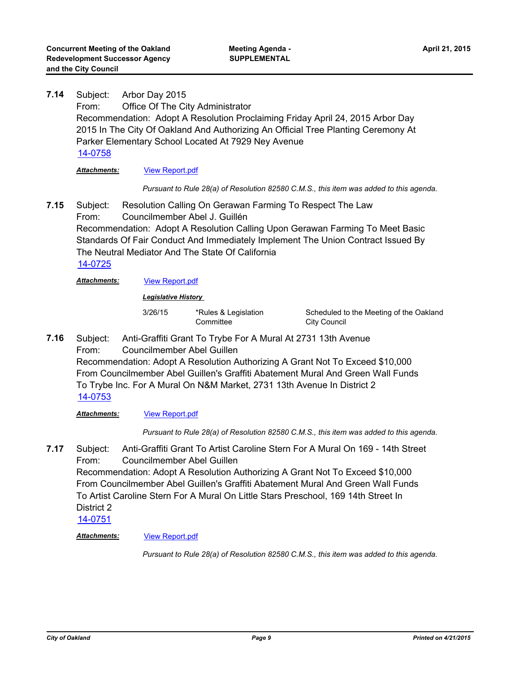Subject: Arbor Day 2015 From: Office Of The City Administrator Recommendation: Adopt A Resolution Proclaiming Friday April 24, 2015 Arbor Day 2015 In The City Of Oakland And Authorizing An Official Tree Planting Ceremony At Parker Elementary School Located At 7929 Ney Avenue **7.14** [14-0758](http://oakland.legistar.com/gateway.aspx?m=l&id=/matter.aspx?key=24737) *Attachments:* [View Report.pdf](http://oakland.legistar.com/gateway.aspx?M=F&ID=96c86322-9128-4e65-9d14-e540fda6bd7a.pdf)

*Pursuant to Rule 28(a) of Resolution 82580 C.M.S., this item was added to this agenda.*

Subject: Resolution Calling On Gerawan Farming To Respect The Law From: Councilmember Abel J. Guillén Recommendation: Adopt A Resolution Calling Upon Gerawan Farming To Meet Basic Standards Of Fair Conduct And Immediately Implement The Union Contract Issued By The Neutral Mediator And The State Of California **7.15** [14-0725](http://oakland.legistar.com/gateway.aspx?m=l&id=/matter.aspx?key=24704)

*Attachments:* [View Report.pdf](http://oakland.legistar.com/gateway.aspx?M=F&ID=6b31a070-487b-4d14-917a-7bf53c971e11.pdf)

*Legislative History* 

3/26/15 \*Rules & Legislation **Committee** 

Scheduled to the Meeting of the Oakland City Council

Subject: Anti-Graffiti Grant To Trybe For A Mural At 2731 13th Avenue From: Councilmember Abel Guillen **7.16**

Recommendation: Adopt A Resolution Authorizing A Grant Not To Exceed \$10,000 From Councilmember Abel Guillen's Graffiti Abatement Mural And Green Wall Funds To Trybe Inc. For A Mural On N&M Market, 2731 13th Avenue In District 2 [14-0753](http://oakland.legistar.com/gateway.aspx?m=l&id=/matter.aspx?key=24732)

*Attachments:* [View Report.pdf](http://oakland.legistar.com/gateway.aspx?M=F&ID=f00b0afa-d42f-47d9-905b-a1ed95e6acad.pdf)

*Pursuant to Rule 28(a) of Resolution 82580 C.M.S., this item was added to this agenda.*

Subject: Anti-Graffiti Grant To Artist Caroline Stern For A Mural On 169 - 14th Street From: Councilmember Abel Guillen **7.17**

Recommendation: Adopt A Resolution Authorizing A Grant Not To Exceed \$10,000 From Councilmember Abel Guillen's Graffiti Abatement Mural And Green Wall Funds To Artist Caroline Stern For A Mural On Little Stars Preschool, 169 14th Street In District 2

[14-0751](http://oakland.legistar.com/gateway.aspx?m=l&id=/matter.aspx?key=24730)

*Attachments:* [View Report.pdf](http://oakland.legistar.com/gateway.aspx?M=F&ID=8d32b194-76e1-431e-8241-446433b4341e.pdf)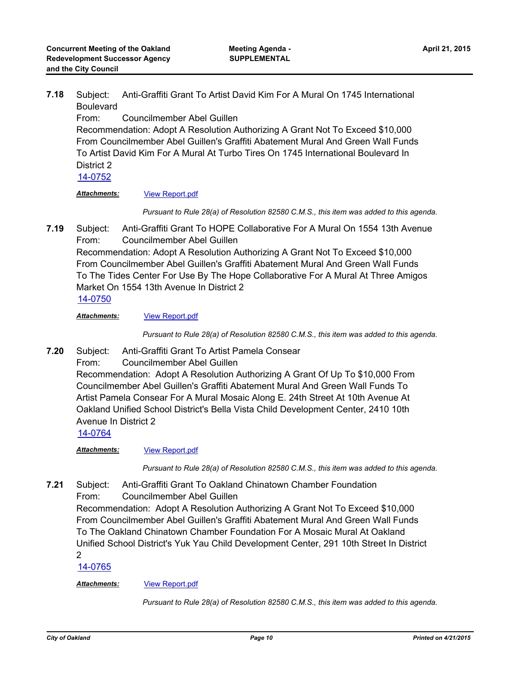Subject: Anti-Graffiti Grant To Artist David Kim For A Mural On 1745 International Boulevard **7.18**

From: Councilmember Abel Guillen

Recommendation: Adopt A Resolution Authorizing A Grant Not To Exceed \$10,000 From Councilmember Abel Guillen's Graffiti Abatement Mural And Green Wall Funds To Artist David Kim For A Mural At Turbo Tires On 1745 International Boulevard In District 2

[14-0752](http://oakland.legistar.com/gateway.aspx?m=l&id=/matter.aspx?key=24731)

*Attachments:* [View Report.pdf](http://oakland.legistar.com/gateway.aspx?M=F&ID=2f604995-54ec-4a94-805d-fec84c08be2f.pdf)

*Pursuant to Rule 28(a) of Resolution 82580 C.M.S., this item was added to this agenda.*

Subject: Anti-Graffiti Grant To HOPE Collaborative For A Mural On 1554 13th Avenue From: Councilmember Abel Guillen Recommendation: Adopt A Resolution Authorizing A Grant Not To Exceed \$10,000 From Councilmember Abel Guillen's Graffiti Abatement Mural And Green Wall Funds **7.19**

To The Tides Center For Use By The Hope Collaborative For A Mural At Three Amigos Market On 1554 13th Avenue In District 2

[14-0750](http://oakland.legistar.com/gateway.aspx?m=l&id=/matter.aspx?key=24729)

*Attachments:* [View Report.pdf](http://oakland.legistar.com/gateway.aspx?M=F&ID=dbe975d9-a9aa-43db-9505-76db39374d3c.pdf)

*Pursuant to Rule 28(a) of Resolution 82580 C.M.S., this item was added to this agenda.*

Subject: Anti-Graffiti Grant To Artist Pamela Consear From: Councilmember Abel Guillen Recommendation: Adopt A Resolution Authorizing A Grant Of Up To \$10,000 From Councilmember Abel Guillen's Graffiti Abatement Mural And Green Wall Funds To Artist Pamela Consear For A Mural Mosaic Along E. 24th Street At 10th Avenue At Oakland Unified School District's Bella Vista Child Development Center, 2410 10th Avenue In District 2 **7.20**

[14-0764](http://oakland.legistar.com/gateway.aspx?m=l&id=/matter.aspx?key=24743)

*Attachments:* [View Report.pdf](http://oakland.legistar.com/gateway.aspx?M=F&ID=57862fd9-ec87-4c76-988d-cb41469794e0.pdf)

*Pursuant to Rule 28(a) of Resolution 82580 C.M.S., this item was added to this agenda.*

Subject: Anti-Graffiti Grant To Oakland Chinatown Chamber Foundation From: Councilmember Abel Guillen **7.21**

Recommendation: Adopt A Resolution Authorizing A Grant Not To Exceed \$10,000 From Councilmember Abel Guillen's Graffiti Abatement Mural And Green Wall Funds To The Oakland Chinatown Chamber Foundation For A Mosaic Mural At Oakland Unified School District's Yuk Yau Child Development Center, 291 10th Street In District 2

[14-0765](http://oakland.legistar.com/gateway.aspx?m=l&id=/matter.aspx?key=24744)

#### *Attachments:* [View Report.pdf](http://oakland.legistar.com/gateway.aspx?M=F&ID=625d3c85-8177-4f38-a2d0-fe34557f47d6.pdf)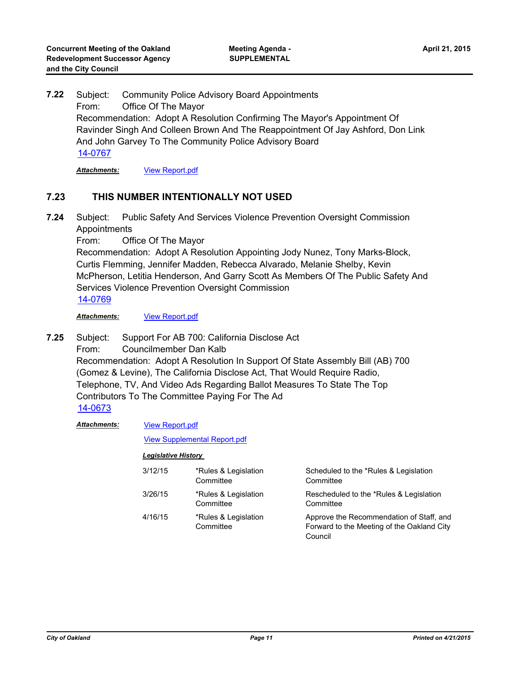Subject: Community Police Advisory Board Appointments From: Office Of The Mayor Recommendation: Adopt A Resolution Confirming The Mayor's Appointment Of Ravinder Singh And Colleen Brown And The Reappointment Of Jay Ashford, Don Link And John Garvey To The Community Police Advisory Board **7.22** [14-0767](http://oakland.legistar.com/gateway.aspx?m=l&id=/matter.aspx?key=24746)

*Attachments:* [View Report.pdf](http://oakland.legistar.com/gateway.aspx?M=F&ID=8092c7eb-11e0-470c-b0c8-59de5aa19537.pdf)

## **7.23 THIS NUMBER INTENTIONALLY NOT USED**

Subject: Public Safety And Services Violence Prevention Oversight Commission **Appointments 7.24**

From: Office Of The Mayor

Recommendation: Adopt A Resolution Appointing Jody Nunez, Tony Marks-Block, Curtis Flemming, Jennifer Madden, Rebecca Alvarado, Melanie Shelby, Kevin McPherson, Letitia Henderson, And Garry Scott As Members Of The Public Safety And Services Violence Prevention Oversight Commission

[14-0769](http://oakland.legistar.com/gateway.aspx?m=l&id=/matter.aspx?key=24748)

*Attachments:* [View Report.pdf](http://oakland.legistar.com/gateway.aspx?M=F&ID=0d162a52-ff3e-4e8c-9f22-b1ec98029d78.pdf)

Subject: Support For AB 700: California Disclose Act From: Councilmember Dan Kalb Recommendation: Adopt A Resolution In Support Of State Assembly Bill (AB) 700 (Gomez & Levine), The California Disclose Act, That Would Require Radio, Telephone, TV, And Video Ads Regarding Ballot Measures To State The Top Contributors To The Committee Paying For The Ad **7.25** [14-0673](http://oakland.legistar.com/gateway.aspx?m=l&id=/matter.aspx?key=24652)

[View Report.pdf](http://oakland.legistar.com/gateway.aspx?M=F&ID=9c1872fd-769d-4e0e-a0f2-2308bb37bb17.pdf) *Attachments:*

#### [View Supplemental Report.pdf](http://oakland.legistar.com/gateway.aspx?M=F&ID=e18aae94-70af-4d3e-8a36-b3ee719e9134.pdf)

| 3/12/15 | *Rules & Legislation<br>Committee | Scheduled to the *Rules & Legislation<br>Committee                                                |
|---------|-----------------------------------|---------------------------------------------------------------------------------------------------|
| 3/26/15 | *Rules & Legislation<br>Committee | Rescheduled to the *Rules & Legislation<br>Committee                                              |
| 4/16/15 | *Rules & Legislation<br>Committee | Approve the Recommendation of Staff, and<br>Forward to the Meeting of the Oakland City<br>Council |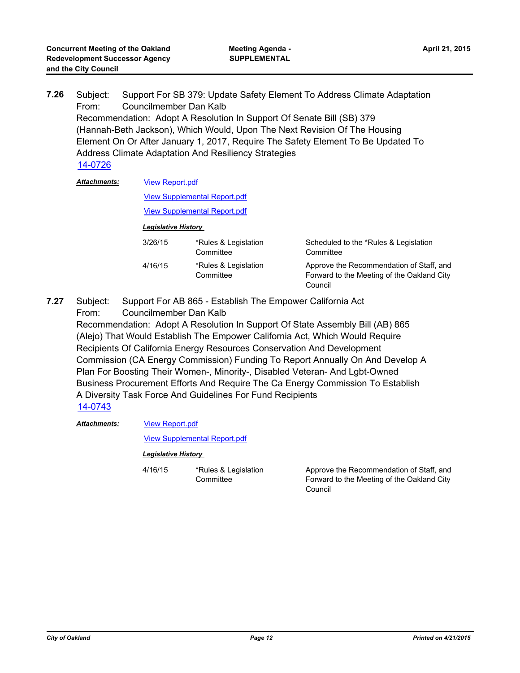Subject: Support For SB 379: Update Safety Element To Address Climate Adaptation From: Councilmember Dan Kalb Recommendation: Adopt A Resolution In Support Of Senate Bill (SB) 379 (Hannah-Beth Jackson), Which Would, Upon The Next Revision Of The Housing Element On Or After January 1, 2017, Require The Safety Element To Be Updated To Address Climate Adaptation And Resiliency Strategies **7.26** [14-0726](http://oakland.legistar.com/gateway.aspx?m=l&id=/matter.aspx?key=24705)

| <b>Attachments:</b> | <b>View Report.pdf</b>              |                                     |                                                                                                   |  |
|---------------------|-------------------------------------|-------------------------------------|---------------------------------------------------------------------------------------------------|--|
|                     |                                     | <b>View Supplemental Report.pdf</b> |                                                                                                   |  |
|                     | <b>View Supplemental Report.pdf</b> |                                     |                                                                                                   |  |
|                     | <b>Legislative History</b>          |                                     |                                                                                                   |  |
|                     | 3/26/15                             | *Rules & Legislation<br>Committee   | Scheduled to the *Rules & Legislation<br>Committee                                                |  |
|                     | 4/16/15                             | *Rules & Legislation<br>Committee   | Approve the Recommendation of Staff, and<br>Forward to the Meeting of the Oakland City<br>Council |  |

Subject: Support For AB 865 - Establish The Empower California Act From: Councilmember Dan Kalb Recommendation: Adopt A Resolution In Support Of State Assembly Bill (AB) 865 (Alejo) That Would Establish The Empower California Act, Which Would Require Recipients Of California Energy Resources Conservation And Development Commission (CA Energy Commission) Funding To Report Annually On And Develop A Plan For Boosting Their Women-, Minority-, Disabled Veteran- And Lgbt-Owned Business Procurement Efforts And Require The Ca Energy Commission To Establish A Diversity Task Force And Guidelines For Fund Recipients **7.27** [14-0743](http://oakland.legistar.com/gateway.aspx?m=l&id=/matter.aspx?key=24722)

[View Report.pdf](http://oakland.legistar.com/gateway.aspx?M=F&ID=021220d2-70c5-48ed-aa24-5743fe80fb03.pdf) *Attachments:*

[View Supplemental Report.pdf](http://oakland.legistar.com/gateway.aspx?M=F&ID=fe05e403-3b24-4d34-bf3d-65f24733a51f.pdf)

#### *Legislative History*

4/16/15 \*Rules & Legislation **Committee** 

Approve the Recommendation of Staff, and Forward to the Meeting of the Oakland City Council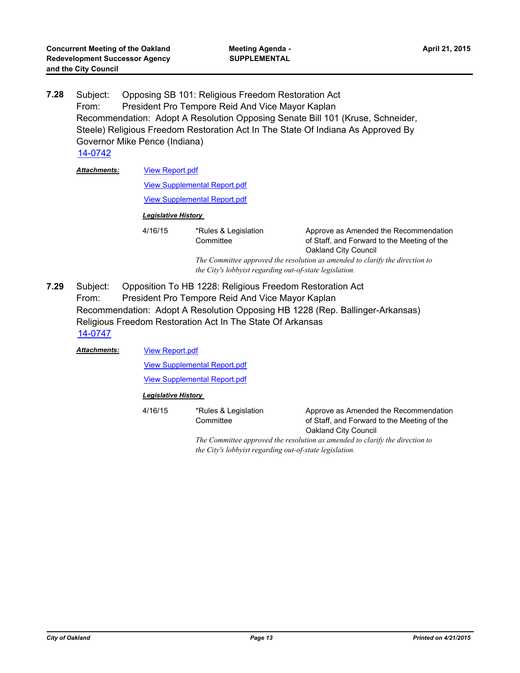Subject: Opposing SB 101: Religious Freedom Restoration Act From: President Pro Tempore Reid And Vice Mayor Kaplan Recommendation: Adopt A Resolution Opposing Senate Bill 101 (Kruse, Schneider, Steele) Religious Freedom Restoration Act In The State Of Indiana As Approved By Governor Mike Pence (Indiana) **7.28**

[14-0742](http://oakland.legistar.com/gateway.aspx?m=l&id=/matter.aspx?key=24721)

| <b>Attachments:</b> | <b>View Report.pdf</b>     |                                                         |                                                                                                              |  |  |
|---------------------|----------------------------|---------------------------------------------------------|--------------------------------------------------------------------------------------------------------------|--|--|
|                     |                            | <b>View Supplemental Report.pdf</b>                     |                                                                                                              |  |  |
|                     |                            | <b>View Supplemental Report.pdf</b>                     |                                                                                                              |  |  |
|                     | <b>Legislative History</b> |                                                         |                                                                                                              |  |  |
|                     | 4/16/15                    | *Rules & Legislation<br>Committee                       | Approve as Amended the Recommendation<br>of Staff, and Forward to the Meeting of the<br>Oakland City Council |  |  |
|                     |                            | the City's lobbyist regarding out-of-state legislation. | The Committee approved the resolution as amended to clarify the direction to                                 |  |  |

Subject: Opposition To HB 1228: Religious Freedom Restoration Act From: President Pro Tempore Reid And Vice Mayor Kaplan Recommendation: Adopt A Resolution Opposing HB 1228 (Rep. Ballinger-Arkansas) Religious Freedom Restoration Act In The State Of Arkansas **7.29** [14-0747](http://oakland.legistar.com/gateway.aspx?m=l&id=/matter.aspx?key=24726)

[View Report.pdf](http://oakland.legistar.com/gateway.aspx?M=F&ID=ece8a956-2eb0-4d64-b5ad-fbaf614691bb.pdf) [View Supplemental Report.pdf](http://oakland.legistar.com/gateway.aspx?M=F&ID=3952b023-8957-44aa-9a5b-2a92f270a056.pdf) [View Supplemental Report.pdf](http://oakland.legistar.com/gateway.aspx?M=F&ID=e0f58796-290c-43a8-bece-0ac4247be5ab.pdf) *Attachments: Legislative History*  4/16/15 \*Rules & Legislation **Committee** Approve as Amended the Recommendation of Staff, and Forward to the Meeting of the

> Oakland City Council *The Committee approved the resolution as amended to clarify the direction to the City's lobbyist regarding out-of-state legislation.*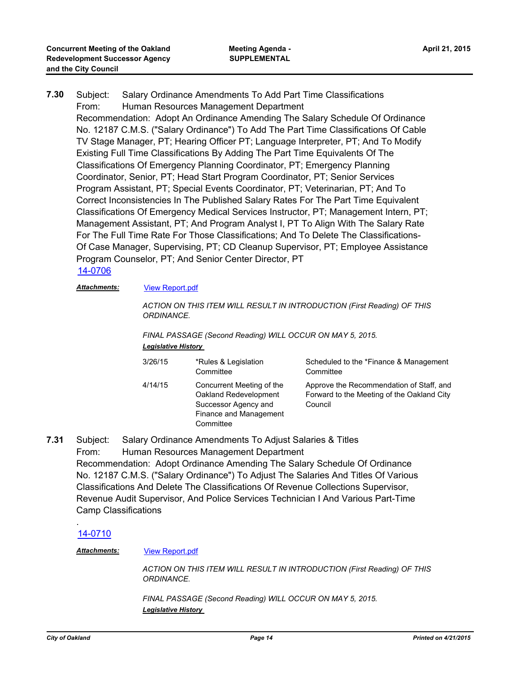Subject: Salary Ordinance Amendments To Add Part Time Classifications From: Human Resources Management Department Recommendation: Adopt An Ordinance Amending The Salary Schedule Of Ordinance No. 12187 C.M.S. ("Salary Ordinance") To Add The Part Time Classifications Of Cable TV Stage Manager, PT; Hearing Officer PT; Language Interpreter, PT; And To Modify Existing Full Time Classifications By Adding The Part Time Equivalents Of The Classifications Of Emergency Planning Coordinator, PT; Emergency Planning Coordinator, Senior, PT; Head Start Program Coordinator, PT; Senior Services Program Assistant, PT; Special Events Coordinator, PT; Veterinarian, PT; And To Correct Inconsistencies In The Published Salary Rates For The Part Time Equivalent Classifications Of Emergency Medical Services Instructor, PT; Management Intern, PT; Management Assistant, PT; And Program Analyst I, PT To Align With The Salary Rate For The Full Time Rate For Those Classifications; And To Delete The Classifications-Of Case Manager, Supervising, PT; CD Cleanup Supervisor, PT; Employee Assistance Program Counselor, PT; And Senior Center Director, PT **7.30**

#### [14-0706](http://oakland.legistar.com/gateway.aspx?m=l&id=/matter.aspx?key=24685)

#### *Attachments:* [View Report.pdf](http://oakland.legistar.com/gateway.aspx?M=F&ID=81bc731a-2b2b-4ea8-ae6a-f4fa80226675.pdf)

*ACTION ON THIS ITEM WILL RESULT IN INTRODUCTION (First Reading) OF THIS ORDINANCE.* 

*FINAL PASSAGE (Second Reading) WILL OCCUR ON MAY 5, 2015. Legislative History* 

| 3/26/15 | *Rules & Legislation<br>Committee                                                                                 | Scheduled to the *Finance & Management<br>Committee                                               |
|---------|-------------------------------------------------------------------------------------------------------------------|---------------------------------------------------------------------------------------------------|
| 4/14/15 | Concurrent Meeting of the<br>Oakland Redevelopment<br>Successor Agency and<br>Finance and Management<br>Committee | Approve the Recommendation of Staff, and<br>Forward to the Meeting of the Oakland City<br>Council |

Subject: Salary Ordinance Amendments To Adjust Salaries & Titles From: Human Resources Management Department Recommendation: Adopt Ordinance Amending The Salary Schedule Of Ordinance No. 12187 C.M.S. ("Salary Ordinance") To Adjust The Salaries And Titles Of Various Classifications And Delete The Classifications Of Revenue Collections Supervisor, Revenue Audit Supervisor, And Police Services Technician I And Various Part-Time Camp Classifications **7.31**

#### [14-0710](http://oakland.legistar.com/gateway.aspx?m=l&id=/matter.aspx?key=24689)

.

#### *Attachments:* [View Report.pdf](http://oakland.legistar.com/gateway.aspx?M=F&ID=c466cfb5-944f-49c5-8fb0-28af10a3d5e8.pdf)

*ACTION ON THIS ITEM WILL RESULT IN INTRODUCTION (First Reading) OF THIS ORDINANCE.* 

*FINAL PASSAGE (Second Reading) WILL OCCUR ON MAY 5, 2015. Legislative History*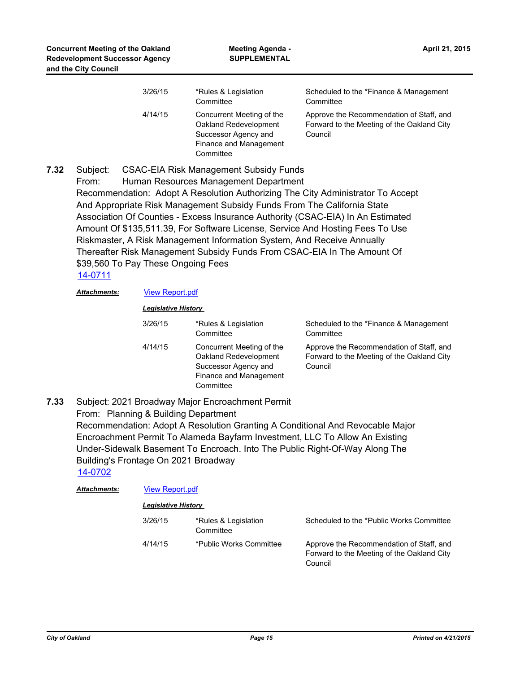| 3/26/15 | *Rules & Legislation<br>Committee                                                                                 | Scheduled to the *Finance & Management<br>Committee                                               |
|---------|-------------------------------------------------------------------------------------------------------------------|---------------------------------------------------------------------------------------------------|
| 4/14/15 | Concurrent Meeting of the<br>Oakland Redevelopment<br>Successor Agency and<br>Finance and Management<br>Committee | Approve the Recommendation of Staff, and<br>Forward to the Meeting of the Oakland City<br>Council |

Subject: CSAC-EIA Risk Management Subsidy Funds From: Human Resources Management Department Recommendation: Adopt A Resolution Authorizing The City Administrator To Accept And Appropriate Risk Management Subsidy Funds From The California State Association Of Counties - Excess Insurance Authority (CSAC-EIA) In An Estimated Amount Of \$135,511.39, For Software License, Service And Hosting Fees To Use Riskmaster, A Risk Management Information System, And Receive Annually Thereafter Risk Management Subsidy Funds From CSAC-EIA In The Amount Of \$39,560 To Pay These Ongoing Fees **7.32** [14-0711](http://oakland.legistar.com/gateway.aspx?m=l&id=/matter.aspx?key=24690)

*Attachments:* [View Report.pdf](http://oakland.legistar.com/gateway.aspx?M=F&ID=b189f4f1-c1db-48b3-a6a2-3be5845f0528.pdf)

#### *Legislative History*

| 3/26/15 | *Rules & Legislation<br>Committee                                                                                 | Scheduled to the *Finance & Management<br>Committee                                               |
|---------|-------------------------------------------------------------------------------------------------------------------|---------------------------------------------------------------------------------------------------|
| 4/14/15 | Concurrent Meeting of the<br>Oakland Redevelopment<br>Successor Agency and<br>Finance and Management<br>Committee | Approve the Recommendation of Staff, and<br>Forward to the Meeting of the Oakland City<br>Council |

Subject: 2021 Broadway Major Encroachment Permit From: Planning & Building Department Recommendation: Adopt A Resolution Granting A Conditional And Revocable Major Encroachment Permit To Alameda Bayfarm Investment, LLC To Allow An Existing Under-Sidewalk Basement To Encroach. Into The Public Right-Of-Way Along The Building's Frontage On 2021 Broadway **7.33** [14-0702](http://oakland.legistar.com/gateway.aspx?m=l&id=/matter.aspx?key=24681)

| <b>Attachments:</b> | <b>View Report.pdf</b>     |                                   |                                                                                                   |  |
|---------------------|----------------------------|-----------------------------------|---------------------------------------------------------------------------------------------------|--|
|                     | <b>Legislative History</b> |                                   |                                                                                                   |  |
|                     | 3/26/15                    | *Rules & Legislation<br>Committee | Scheduled to the *Public Works Committee                                                          |  |
|                     | 4/14/15                    | *Public Works Committee           | Approve the Recommendation of Staff, and<br>Forward to the Meeting of the Oakland City<br>Council |  |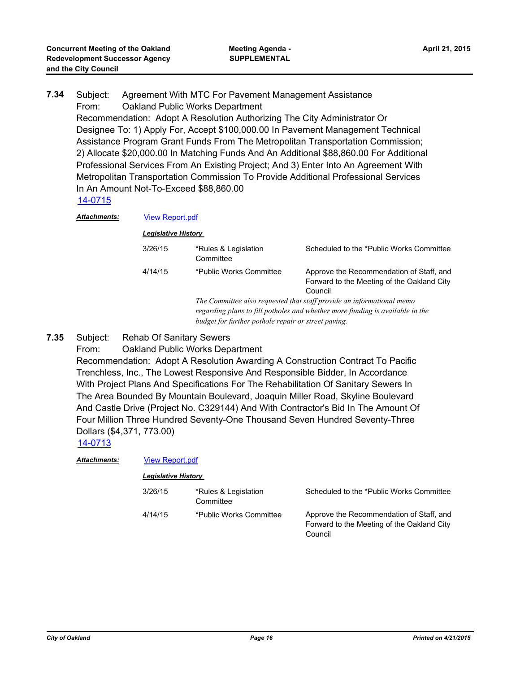Subject: Agreement With MTC For Pavement Management Assistance From: Oakland Public Works Department Recommendation: Adopt A Resolution Authorizing The City Administrator Or Designee To: 1) Apply For, Accept \$100,000.00 In Pavement Management Technical Assistance Program Grant Funds From The Metropolitan Transportation Commission; 2) Allocate \$20,000.00 In Matching Funds And An Additional \$88,860.00 For Additional Professional Services From An Existing Project; And 3) Enter Into An Agreement With Metropolitan Transportation Commission To Provide Additional Professional Services In An Amount Not-To-Exceed \$88,860.00 **7.34** [14-0715](http://oakland.legistar.com/gateway.aspx?m=l&id=/matter.aspx?key=24694) Attachments: **[View Report.pdf](http://oakland.legistar.com/gateway.aspx?M=F&ID=59d45416-0637-40c9-b262-3bce2eeb6a2c.pdf)** 

| . | VIGW INGPORT               |                                                                                                                                                                                                               |                                                                                                   |
|---|----------------------------|---------------------------------------------------------------------------------------------------------------------------------------------------------------------------------------------------------------|---------------------------------------------------------------------------------------------------|
|   | <b>Legislative History</b> |                                                                                                                                                                                                               |                                                                                                   |
|   | 3/26/15                    | *Rules & Legislation<br>Committee                                                                                                                                                                             | Scheduled to the *Public Works Committee                                                          |
|   | 4/14/15                    | *Public Works Committee                                                                                                                                                                                       | Approve the Recommendation of Staff, and<br>Forward to the Meeting of the Oakland City<br>Council |
|   |                            | The Committee also requested that staff provide an informational memo<br>regarding plans to fill potholes and whether more funding is available in the<br>budget for further pothole repair or street paving. |                                                                                                   |

- Subject: Rehab Of Sanitary Sewers **7.35**
	- From: Oakland Public Works Department Recommendation: Adopt A Resolution Awarding A Construction Contract To Pacific Trenchless, Inc., The Lowest Responsive And Responsible Bidder, In Accordance With Project Plans And Specifications For The Rehabilitation Of Sanitary Sewers In The Area Bounded By Mountain Boulevard, Joaquin Miller Road, Skyline Boulevard And Castle Drive (Project No. C329144) And With Contractor's Bid In The Amount Of Four Million Three Hundred Seventy-One Thousand Seven Hundred Seventy-Three Dollars (\$4,371, 773.00)

#### [14-0713](http://oakland.legistar.com/gateway.aspx?m=l&id=/matter.aspx?key=24692)

| <b>Attachments:</b> | <b>View Report.pdf</b>     |                                   |                                                                                                   |  |
|---------------------|----------------------------|-----------------------------------|---------------------------------------------------------------------------------------------------|--|
|                     | <b>Legislative History</b> |                                   |                                                                                                   |  |
|                     | 3/26/15                    | *Rules & Legislation<br>Committee | Scheduled to the *Public Works Committee                                                          |  |
|                     | 4/14/15                    | *Public Works Committee           | Approve the Recommendation of Staff, and<br>Forward to the Meeting of the Oakland City<br>Council |  |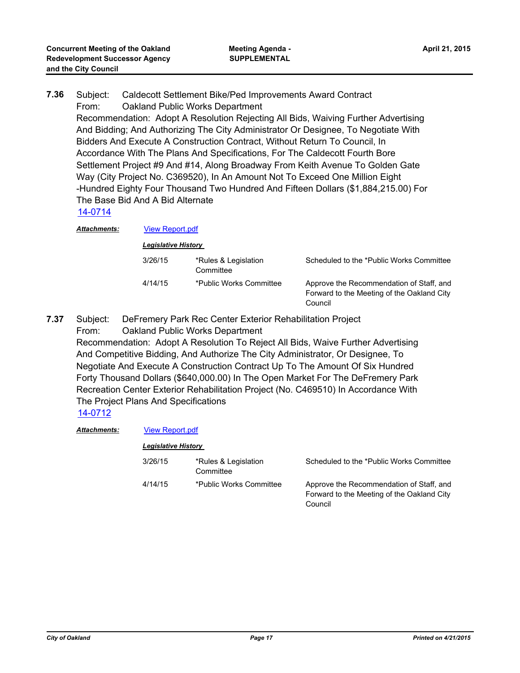Subject: Caldecott Settlement Bike/Ped Improvements Award Contract From: Oakland Public Works Department Recommendation: Adopt A Resolution Rejecting All Bids, Waiving Further Advertising And Bidding; And Authorizing The City Administrator Or Designee, To Negotiate With Bidders And Execute A Construction Contract, Without Return To Council, In Accordance With The Plans And Specifications, For The Caldecott Fourth Bore Settlement Project #9 And #14, Along Broadway From Keith Avenue To Golden Gate Way (City Project No. C369520), In An Amount Not To Exceed One Million Eight -Hundred Eighty Four Thousand Two Hundred And Fifteen Dollars (\$1,884,215.00) For The Base Bid And A Bid Alternate **7.36** [14-0714](http://oakland.legistar.com/gateway.aspx?m=l&id=/matter.aspx?key=24693) *Attachments:* [View Report.pdf](http://oakland.legistar.com/gateway.aspx?M=F&ID=e5991402-13e2-473b-8dab-14b42c8c5f31.pdf) *Legislative History*  3/26/15 \*Rules & Legislation Scheduled to the \*Public Works Committee

|         | Committee               |                                                                                                   |
|---------|-------------------------|---------------------------------------------------------------------------------------------------|
| 4/14/15 | *Public Works Committee | Approve the Recommendation of Staff, and<br>Forward to the Meeting of the Oakland City<br>Council |

Subject: DeFremery Park Rec Center Exterior Rehabilitation Project From: Oakland Public Works Department **7.37**

Recommendation: Adopt A Resolution To Reject All Bids, Waive Further Advertising And Competitive Bidding, And Authorize The City Administrator, Or Designee, To Negotiate And Execute A Construction Contract Up To The Amount Of Six Hundred Forty Thousand Dollars (\$640,000.00) In The Open Market For The DeFremery Park Recreation Center Exterior Rehabilitation Project (No. C469510) In Accordance With The Project Plans And Specifications

[14-0712](http://oakland.legistar.com/gateway.aspx?m=l&id=/matter.aspx?key=24691)

#### *Attachments:* [View Report.pdf](http://oakland.legistar.com/gateway.aspx?M=F&ID=5f01dae7-cf69-4c06-9102-f1c4c7474949.pdf)

| 3/26/15 | *Rules & Legislation<br>Committee | Scheduled to the *Public Works Committee                                                          |
|---------|-----------------------------------|---------------------------------------------------------------------------------------------------|
| 4/14/15 | *Public Works Committee           | Approve the Recommendation of Staff, and<br>Forward to the Meeting of the Oakland City<br>Council |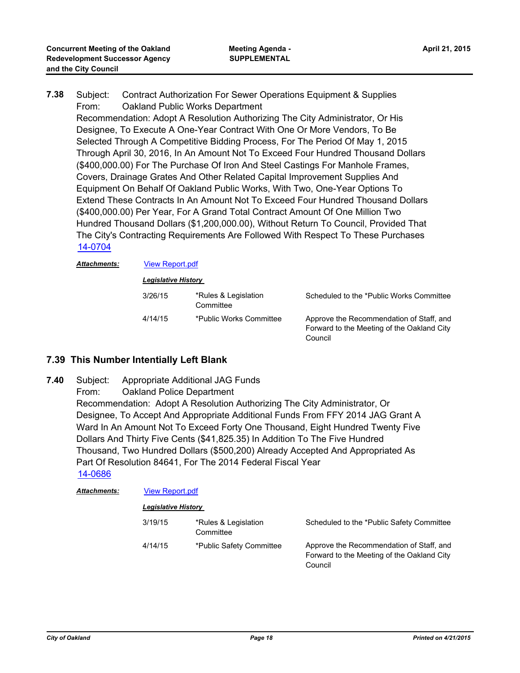Subject: Contract Authorization For Sewer Operations Equipment & Supplies From: Oakland Public Works Department Recommendation: Adopt A Resolution Authorizing The City Administrator, Or His Designee, To Execute A One-Year Contract With One Or More Vendors, To Be Selected Through A Competitive Bidding Process, For The Period Of May 1, 2015 Through April 30, 2016, In An Amount Not To Exceed Four Hundred Thousand Dollars (\$400,000.00) For The Purchase Of Iron And Steel Castings For Manhole Frames, Covers, Drainage Grates And Other Related Capital Improvement Supplies And Equipment On Behalf Of Oakland Public Works, With Two, One-Year Options To Extend These Contracts In An Amount Not To Exceed Four Hundred Thousand Dollars (\$400,000.00) Per Year, For A Grand Total Contract Amount Of One Million Two Hundred Thousand Dollars (\$1,200,000.00), Without Return To Council, Provided That The City's Contracting Requirements Are Followed With Respect To These Purchases **7.38** [14-0704](http://oakland.legistar.com/gateway.aspx?m=l&id=/matter.aspx?key=24683)

*Attachments:* [View Report.pdf](http://oakland.legistar.com/gateway.aspx?M=F&ID=b7704e68-113e-4325-9b48-329725d0e24b.pdf)

| <b>Legislative History</b> |                                   |                                                                                                   |  |
|----------------------------|-----------------------------------|---------------------------------------------------------------------------------------------------|--|
| 3/26/15                    | *Rules & Legislation<br>Committee | Scheduled to the *Public Works Committee                                                          |  |
| 4/14/15                    | *Public Works Committee           | Approve the Recommendation of Staff, and<br>Forward to the Meeting of the Oakland City<br>Council |  |

### **7.39 This Number Intentially Left Blank**

Subject: Appropriate Additional JAG Funds From: Oakland Police Department Recommendation: Adopt A Resolution Authorizing The City Administrator, Or Designee, To Accept And Appropriate Additional Funds From FFY 2014 JAG Grant A Ward In An Amount Not To Exceed Forty One Thousand, Eight Hundred Twenty Five Dollars And Thirty Five Cents (\$41,825.35) In Addition To The Five Hundred Thousand, Two Hundred Dollars (\$500,200) Already Accepted And Appropriated As Part Of Resolution 84641, For The 2014 Federal Fiscal Year **7.40** [14-0686](http://oakland.legistar.com/gateway.aspx?m=l&id=/matter.aspx?key=24665)

| <u> Attachments:</u> | <b>View Report.pdf</b>     |                                   |                                                                                                   |  |
|----------------------|----------------------------|-----------------------------------|---------------------------------------------------------------------------------------------------|--|
|                      | <b>Legislative History</b> |                                   |                                                                                                   |  |
|                      | 3/19/15                    | *Rules & Legislation<br>Committee | Scheduled to the *Public Safety Committee                                                         |  |
|                      | 4/14/15                    | *Public Safety Committee          | Approve the Recommendation of Staff, and<br>Forward to the Meeting of the Oakland City<br>Council |  |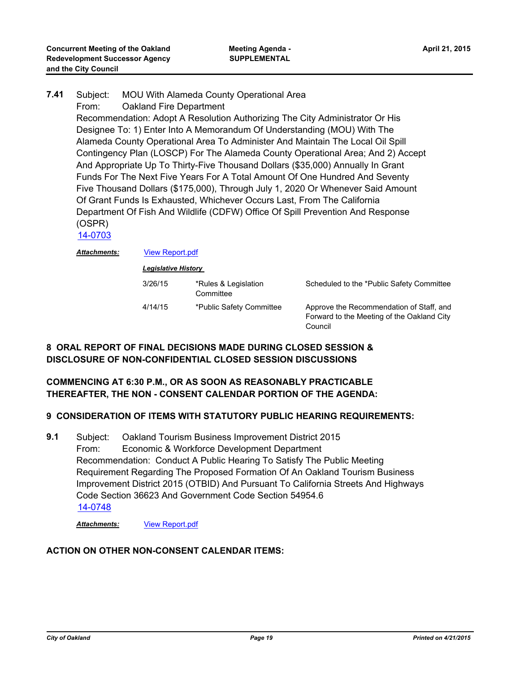- Subject: MOU With Alameda County Operational Area From: Oakland Fire Department Recommendation: Adopt A Resolution Authorizing The City Administrator Or His Designee To: 1) Enter Into A Memorandum Of Understanding (MOU) With The Alameda County Operational Area To Administer And Maintain The Local Oil Spill Contingency Plan (LOSCP) For The Alameda County Operational Area; And 2) Accept And Appropriate Up To Thirty-Five Thousand Dollars (\$35,000) Annually In Grant Funds For The Next Five Years For A Total Amount Of One Hundred And Seventy Five Thousand Dollars (\$175,000), Through July 1, 2020 Or Whenever Said Amount Of Grant Funds Is Exhausted, Whichever Occurs Last, From The California Department Of Fish And Wildlife (CDFW) Office Of Spill Prevention And Response (OSPR) **7.41** [14-0703](http://oakland.legistar.com/gateway.aspx?m=l&id=/matter.aspx?key=24682)
	- *Attachments:* [View Report.pdf](http://oakland.legistar.com/gateway.aspx?M=F&ID=d11bc412-4ddf-47ae-82fb-e57c1b37461d.pdf)

*Legislative History* 

| 3/26/15 | *Rules & Legislation<br>Committee | Scheduled to the *Public Safety Committee                                                         |
|---------|-----------------------------------|---------------------------------------------------------------------------------------------------|
| 4/14/15 | *Public Safety Committee          | Approve the Recommendation of Staff, and<br>Forward to the Meeting of the Oakland City<br>Council |

## **8 ORAL REPORT OF FINAL DECISIONS MADE DURING CLOSED SESSION & DISCLOSURE OF NON-CONFIDENTIAL CLOSED SESSION DISCUSSIONS**

### **COMMENCING AT 6:30 P.M., OR AS SOON AS REASONABLY PRACTICABLE THEREAFTER, THE NON - CONSENT CALENDAR PORTION OF THE AGENDA:**

### **9 CONSIDERATION OF ITEMS WITH STATUTORY PUBLIC HEARING REQUIREMENTS:**

Subject: Oakland Tourism Business Improvement District 2015 From: Economic & Workforce Development Department Recommendation: Conduct A Public Hearing To Satisfy The Public Meeting Requirement Regarding The Proposed Formation Of An Oakland Tourism Business Improvement District 2015 (OTBID) And Pursuant To California Streets And Highways Code Section 36623 And Government Code Section 54954.6 **9.1** [14-0748](http://oakland.legistar.com/gateway.aspx?m=l&id=/matter.aspx?key=24727)

#### *Attachments:* [View Report.pdf](http://oakland.legistar.com/gateway.aspx?M=F&ID=1f64fffa-3a8d-4d9f-afdc-d6b82059041f.pdf)

#### **ACTION ON OTHER NON-CONSENT CALENDAR ITEMS:**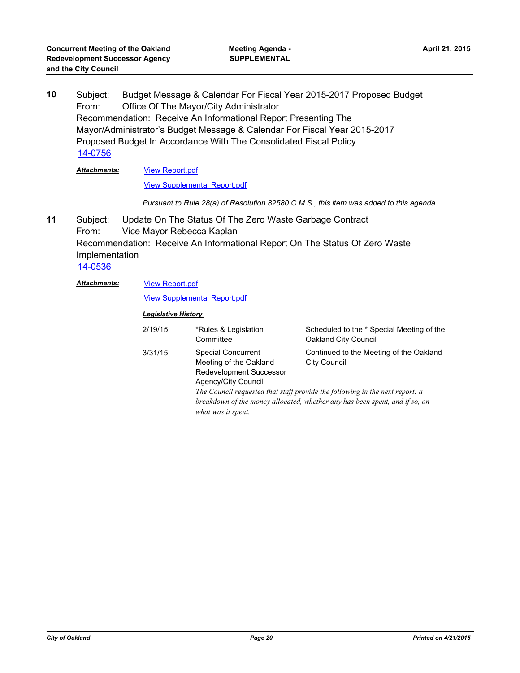Subject: Budget Message & Calendar For Fiscal Year 2015-2017 Proposed Budget From: Office Of The Mayor/City Administrator Recommendation: Receive An Informational Report Presenting The Mayor/Administrator's Budget Message & Calendar For Fiscal Year 2015-2017 Proposed Budget In Accordance With The Consolidated Fiscal Policy **10** [14-0756](http://oakland.legistar.com/gateway.aspx?m=l&id=/matter.aspx?key=24735)

#### [View Report.pdf](http://oakland.legistar.com/gateway.aspx?M=F&ID=567e2a28-7ee1-4463-930b-3b80fad9393f.pdf) [View Supplemental Report.pdf](http://oakland.legistar.com/gateway.aspx?M=F&ID=857b1997-e8c0-4947-9b19-6188db60fade.pdf) *Attachments:*

*Pursuant to Rule 28(a) of Resolution 82580 C.M.S., this item was added to this agenda.*

- Subject: Update On The Status Of The Zero Waste Garbage Contract From: Vice Mayor Rebecca Kaplan Recommendation: Receive An Informational Report On The Status Of Zero Waste Implementation **11** [14-0536](http://oakland.legistar.com/gateway.aspx?m=l&id=/matter.aspx?key=24515)
	- [View Report.pdf](http://oakland.legistar.com/gateway.aspx?M=F&ID=8fd0df24-09f2-4052-92f5-c1eb0188ac8f.pdf) *Attachments:*

#### [View Supplemental Report.pdf](http://oakland.legistar.com/gateway.aspx?M=F&ID=5f0bf0d6-69ae-4509-a7b7-8c5ab2253881.pdf)

| 2/19/15 | *Rules & Legislation<br>Committee                                                                                           | Scheduled to the * Special Meeting of the<br>Oakland City Council                                                                                                                                                             |
|---------|-----------------------------------------------------------------------------------------------------------------------------|-------------------------------------------------------------------------------------------------------------------------------------------------------------------------------------------------------------------------------|
| 3/31/15 | <b>Special Concurrent</b><br>Meeting of the Oakland<br>Redevelopment Successor<br>Agency/City Council<br>what was it spent. | Continued to the Meeting of the Oakland<br><b>City Council</b><br>The Council requested that staff provide the following in the next report: a<br>breakdown of the money allocated, whether any has been spent, and if so, on |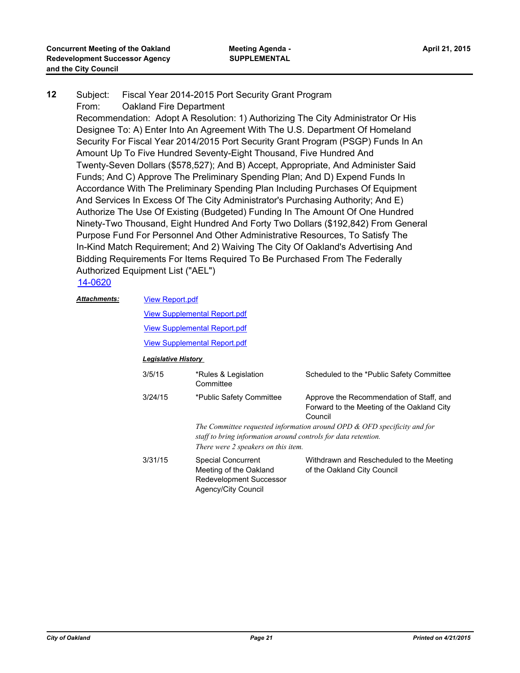#### Subject: Fiscal Year 2014-2015 Port Security Grant Program From: Oakland Fire Department **12**

Recommendation: Adopt A Resolution: 1) Authorizing The City Administrator Or His Designee To: A) Enter Into An Agreement With The U.S. Department Of Homeland Security For Fiscal Year 2014/2015 Port Security Grant Program (PSGP) Funds In An Amount Up To Five Hundred Seventy-Eight Thousand, Five Hundred And Twenty-Seven Dollars (\$578,527); And B) Accept, Appropriate, And Administer Said Funds; And C) Approve The Preliminary Spending Plan; And D) Expend Funds In Accordance With The Preliminary Spending Plan Including Purchases Of Equipment And Services In Excess Of The City Administrator's Purchasing Authority; And E) Authorize The Use Of Existing (Budgeted) Funding In The Amount Of One Hundred Ninety-Two Thousand, Eight Hundred And Forty Two Dollars (\$192,842) From General Purpose Fund For Personnel And Other Administrative Resources, To Satisfy The In-Kind Match Requirement; And 2) Waiving The City Of Oakland's Advertising And Bidding Requirements For Items Required To Be Purchased From The Federally Authorized Equipment List ("AEL")

#### [14-0620](http://oakland.legistar.com/gateway.aspx?m=l&id=/matter.aspx?key=24599)

#### [View Report.pdf](http://oakland.legistar.com/gateway.aspx?M=F&ID=91c0395e-5404-46c4-81c8-35044083378e.pdf) *Attachments:*

[View Supplemental Report.pdf](http://oakland.legistar.com/gateway.aspx?M=F&ID=ec422501-1e98-4efc-a3a8-0f567b1003f1.pdf)

[View Supplemental Report.pdf](http://oakland.legistar.com/gateway.aspx?M=F&ID=864cf8c9-570d-4b6f-aec9-6f9cecd9e2d8.pdf)

[View Supplemental Report.pdf](http://oakland.legistar.com/gateway.aspx?M=F&ID=d0f96a30-1bc0-41cf-a74c-d69cdddc233c.pdf)

| 3/5/15  | *Rules & Legislation<br>Committee                                                                     | Scheduled to the *Public Safety Committee                                                         |
|---------|-------------------------------------------------------------------------------------------------------|---------------------------------------------------------------------------------------------------|
| 3/24/15 | *Public Safety Committee                                                                              | Approve the Recommendation of Staff, and<br>Forward to the Meeting of the Oakland City<br>Council |
|         | staff to bring information around controls for data retention.<br>There were 2 speakers on this item. | The Committee requested information around OPD $&$ OFD specificity and for                        |
| 3/31/15 | <b>Special Concurrent</b><br>Meeting of the Oakland<br>Redevelopment Successor<br>Agency/City Council | Withdrawn and Rescheduled to the Meeting<br>of the Oakland City Council                           |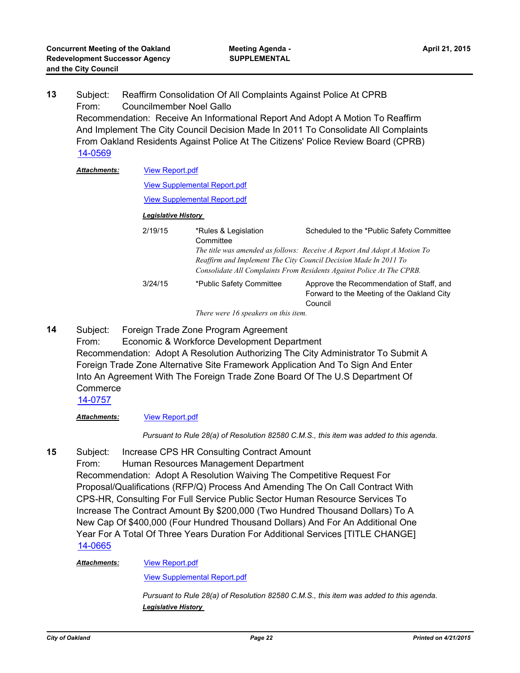Subject: Reaffirm Consolidation Of All Complaints Against Police At CPRB From: Councilmember Noel Gallo Recommendation: Receive An Informational Report And Adopt A Motion To Reaffirm And Implement The City Council Decision Made In 2011 To Consolidate All Complaints From Oakland Residents Against Police At The Citizens' Police Review Board (CPRB) **13** [14-0569](http://oakland.legistar.com/gateway.aspx?m=l&id=/matter.aspx?key=24548) [View Report.pdf](http://oakland.legistar.com/gateway.aspx?M=F&ID=25bb414a-01ce-45df-93f5-99dec2a5066a.pdf) *Attachments:*

|                                     | <b>View Supplemental Report.pdf</b>                                          |                                                                                                                                           |  |
|-------------------------------------|------------------------------------------------------------------------------|-------------------------------------------------------------------------------------------------------------------------------------------|--|
| <b>View Supplemental Report.pdf</b> |                                                                              |                                                                                                                                           |  |
|                                     | <b>Legislative History</b>                                                   |                                                                                                                                           |  |
| 2/19/15                             | *Rules & Legislation<br>Committee                                            | Scheduled to the *Public Safety Committee<br>The title was amended as follows: Receive A Report And Adopt A Motion To                     |  |
|                                     |                                                                              | Reaffirm and Implement The City Council Decision Made In 2011 To<br>Consolidate All Complaints From Residents Against Police At The CPRB. |  |
| 3/24/15                             | *Public Safety Committee                                                     | Approve the Recommendation of Staff, and<br>Forward to the Meeting of the Oakland City<br>Council                                         |  |
|                                     | $Tl_{\text{max}}$ and $I_{\text{max}}$ is a subsequently of $l_{\text{max}}$ |                                                                                                                                           |  |

*There were 16 speakers on this item.*

Subject: Foreign Trade Zone Program Agreement From: Economic & Workforce Development Department Recommendation: Adopt A Resolution Authorizing The City Administrator To Submit A Foreign Trade Zone Alternative Site Framework Application And To Sign And Enter Into An Agreement With The Foreign Trade Zone Board Of The U.S Department Of **Commerce 14**

#### [14-0757](http://oakland.legistar.com/gateway.aspx?m=l&id=/matter.aspx?key=24736)

#### *Attachments:* [View Report.pdf](http://oakland.legistar.com/gateway.aspx?M=F&ID=319d8fae-caa9-48af-b6a5-0ef7fed58056.pdf)

*Pursuant to Rule 28(a) of Resolution 82580 C.M.S., this item was added to this agenda.*

Subject: Increase CPS HR Consulting Contract Amount **15**

> From: Human Resources Management Department Recommendation: Adopt A Resolution Waiving The Competitive Request For Proposal/Qualifications (RFP/Q) Process And Amending The On Call Contract With CPS-HR, Consulting For Full Service Public Sector Human Resource Services To Increase The Contract Amount By \$200,000 (Two Hundred Thousand Dollars) To A New Cap Of \$400,000 (Four Hundred Thousand Dollars) And For An Additional One Year For A Total Of Three Years Duration For Additional Services [TITLE CHANGE] [14-0665](http://oakland.legistar.com/gateway.aspx?m=l&id=/matter.aspx?key=24644)

#### [View Report.pdf](http://oakland.legistar.com/gateway.aspx?M=F&ID=623081c6-13b1-4fe6-ba7e-c682ac5b1217.pdf) *Attachments:*

[View Supplemental Report.pdf](http://oakland.legistar.com/gateway.aspx?M=F&ID=2c647e0e-cf44-4409-866e-6ac2ff0cc32b.pdf)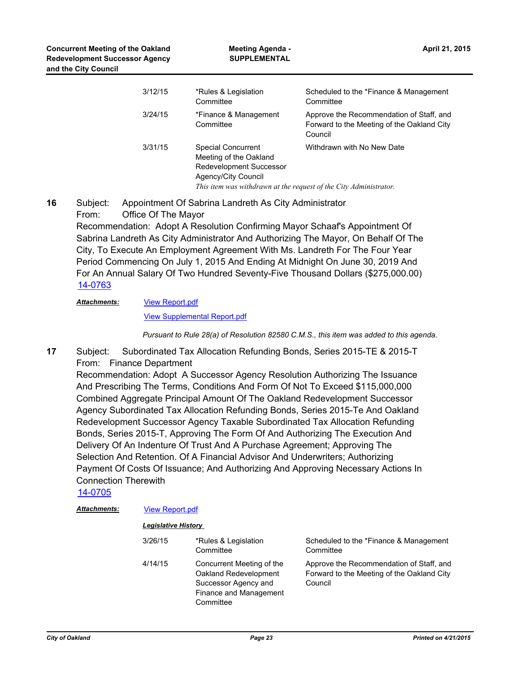| 3/12/15 | *Rules & Legislation<br>Committee                                                                                                                                          | Scheduled to the *Finance & Management<br>Committee                                               |
|---------|----------------------------------------------------------------------------------------------------------------------------------------------------------------------------|---------------------------------------------------------------------------------------------------|
| 3/24/15 | *Finance & Management<br>Committee                                                                                                                                         | Approve the Recommendation of Staff, and<br>Forward to the Meeting of the Oakland City<br>Council |
| 3/31/15 | <b>Special Concurrent</b><br>Meeting of the Oakland<br>Redevelopment Successor<br>Agency/City Council<br>This item was withdrawn at the request of the City Administrator. | Withdrawn with No New Date                                                                        |

Subject: Appointment Of Sabrina Landreth As City Administrator From: Office Of The Mayor Recommendation: Adopt A Resolution Confirming Mayor Schaaf's Appointment Of Sabrina Landreth As City Administrator And Authorizing The Mayor, On Behalf Of The City, To Execute An Employment Agreement With Ms. Landreth For The Four Year Period Commencing On July 1, 2015 And Ending At Midnight On June 30, 2019 And For An Annual Salary Of Two Hundred Seventy-Five Thousand Dollars (\$275,000.00) **16** [14-0763](http://oakland.legistar.com/gateway.aspx?m=l&id=/matter.aspx?key=24742)

#### [View Report.pdf](http://oakland.legistar.com/gateway.aspx?M=F&ID=37108af1-a108-4b90-b4d8-f01738dcd2a9.pdf) *Attachments:*

[View Supplemental Report.pdf](http://oakland.legistar.com/gateway.aspx?M=F&ID=3904ae4e-5ce1-4825-b67e-e4d8817478be.pdf)

*Pursuant to Rule 28(a) of Resolution 82580 C.M.S., this item was added to this agenda.*

Subject: Subordinated Tax Allocation Refunding Bonds, Series 2015-TE & 2015-T From: Finance Department **17**

Recommendation: Adopt A Successor Agency Resolution Authorizing The Issuance And Prescribing The Terms, Conditions And Form Of Not To Exceed \$115,000,000 Combined Aggregate Principal Amount Of The Oakland Redevelopment Successor Agency Subordinated Tax Allocation Refunding Bonds, Series 2015-Te And Oakland Redevelopment Successor Agency Taxable Subordinated Tax Allocation Refunding Bonds, Series 2015-T, Approving The Form Of And Authorizing The Execution And Delivery Of An Indenture Of Trust And A Purchase Agreement; Approving The Selection And Retention. Of A Financial Advisor And Underwriters; Authorizing Payment Of Costs Of Issuance; And Authorizing And Approving Necessary Actions In Connection Therewith

[14-0705](http://oakland.legistar.com/gateway.aspx?m=l&id=/matter.aspx?key=24684)

| Attachments: | <b>View Report.pdf</b>     |                                                                                                                   |                                                                                                   |  |
|--------------|----------------------------|-------------------------------------------------------------------------------------------------------------------|---------------------------------------------------------------------------------------------------|--|
|              | <b>Legislative History</b> |                                                                                                                   |                                                                                                   |  |
|              | 3/26/15                    | *Rules & Legislation<br>Committee                                                                                 | Scheduled to the *Finance & Management<br>Committee                                               |  |
|              | 4/14/15                    | Concurrent Meeting of the<br>Oakland Redevelopment<br>Successor Agency and<br>Finance and Management<br>Committee | Approve the Recommendation of Staff, and<br>Forward to the Meeting of the Oakland City<br>Council |  |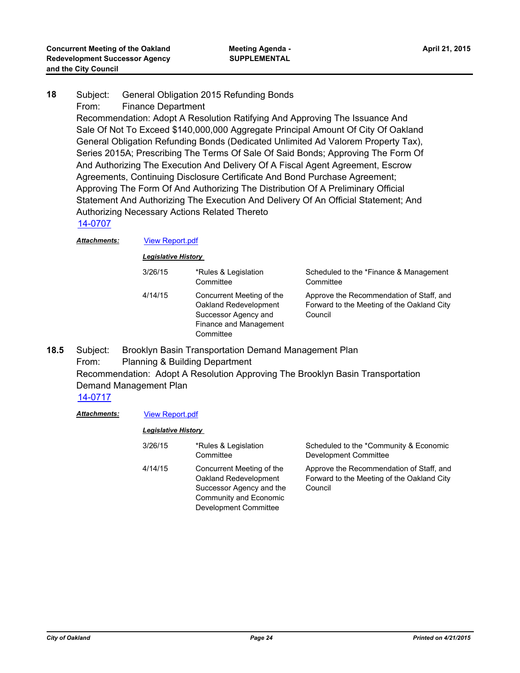#### Subject: General Obligation 2015 Refunding Bonds From: Finance Department **18**

Recommendation: Adopt A Resolution Ratifying And Approving The Issuance And Sale Of Not To Exceed \$140,000,000 Aggregate Principal Amount Of City Of Oakland General Obligation Refunding Bonds (Dedicated Unlimited Ad Valorem Property Tax), Series 2015A; Prescribing The Terms Of Sale Of Said Bonds; Approving The Form Of And Authorizing The Execution And Delivery Of A Fiscal Agent Agreement, Escrow Agreements, Continuing Disclosure Certificate And Bond Purchase Agreement; Approving The Form Of And Authorizing The Distribution Of A Preliminary Official Statement And Authorizing The Execution And Delivery Of An Official Statement; And Authorizing Necessary Actions Related Thereto

#### [14-0707](http://oakland.legistar.com/gateway.aspx?m=l&id=/matter.aspx?key=24686)

#### *Attachments:* [View Report.pdf](http://oakland.legistar.com/gateway.aspx?M=F&ID=65bcc29e-ecf9-4e15-93da-3ec4f8f0bb8d.pdf)

*Legislative History* 

| 3/26/15 | *Rules & Legislation<br>Committee                                                                                 | Scheduled to the *Finance & Management<br>Committee                                               |
|---------|-------------------------------------------------------------------------------------------------------------------|---------------------------------------------------------------------------------------------------|
| 4/14/15 | Concurrent Meeting of the<br>Oakland Redevelopment<br>Successor Agency and<br>Finance and Management<br>Committee | Approve the Recommendation of Staff, and<br>Forward to the Meeting of the Oakland City<br>Council |

#### Subject: Brooklyn Basin Transportation Demand Management Plan From: Planning & Building Department Recommendation: Adopt A Resolution Approving The Brooklyn Basin Transportation Demand Management Plan **18.5** [14-0717](http://oakland.legistar.com/gateway.aspx?m=l&id=/matter.aspx?key=24696)

#### *Attachments:* [View Report.pdf](http://oakland.legistar.com/gateway.aspx?M=F&ID=ca1a1d97-d1fb-4195-b121-a4f3855a6c64.pdf)

| 3/26/15 | *Rules & Legislation<br>Committee                                                                                                 | Scheduled to the *Community & Economic<br>Development Committee                                   |
|---------|-----------------------------------------------------------------------------------------------------------------------------------|---------------------------------------------------------------------------------------------------|
| 4/14/15 | Concurrent Meeting of the<br>Oakland Redevelopment<br>Successor Agency and the<br>Community and Economic<br>Development Committee | Approve the Recommendation of Staff, and<br>Forward to the Meeting of the Oakland City<br>Council |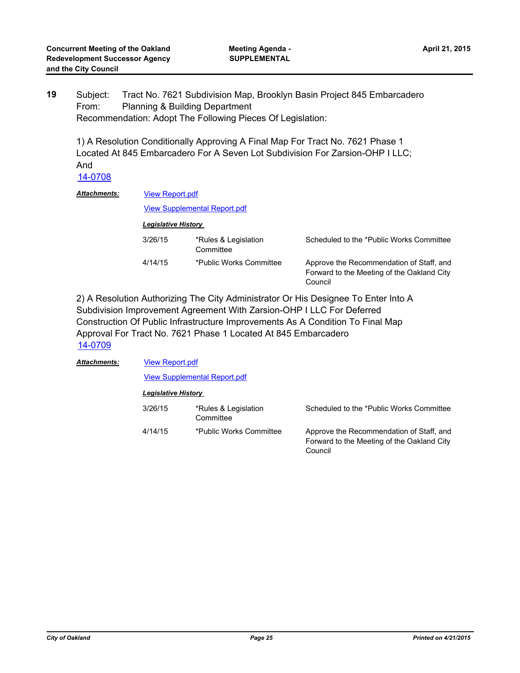Subject: Tract No. 7621 Subdivision Map, Brooklyn Basin Project 845 Embarcadero From: Planning & Building Department Recommendation: Adopt The Following Pieces Of Legislation: **19**

1) A Resolution Conditionally Approving A Final Map For Tract No. 7621 Phase 1 Located At 845 Embarcadero For A Seven Lot Subdivision For Zarsion-OHP I LLC; And

[14-0708](http://oakland.legistar.com/gateway.aspx?m=l&id=/matter.aspx?key=24687)

| Attachments: |         | <b>View Report.pdf</b>              |                                                                                                   |  |  |
|--------------|---------|-------------------------------------|---------------------------------------------------------------------------------------------------|--|--|
|              |         | <b>View Supplemental Report.pdf</b> |                                                                                                   |  |  |
|              |         | <b>Legislative History</b>          |                                                                                                   |  |  |
|              | 3/26/15 | *Rules & Legislation<br>Committee   | Scheduled to the *Public Works Committee                                                          |  |  |
|              | 4/14/15 | *Public Works Committee             | Approve the Recommendation of Staff, and<br>Forward to the Meeting of the Oakland City<br>Council |  |  |

2) A Resolution Authorizing The City Administrator Or His Designee To Enter Into A Subdivision Improvement Agreement With Zarsion-OHP I LLC For Deferred Construction Of Public Infrastructure Improvements As A Condition To Final Map Approval For Tract No. 7621 Phase 1 Located At 845 Embarcadero [14-0709](http://oakland.legistar.com/gateway.aspx?m=l&id=/matter.aspx?key=24688)

| Attachments: |         | <b>View Report.pdf</b>              |                                                                                                   |  |  |
|--------------|---------|-------------------------------------|---------------------------------------------------------------------------------------------------|--|--|
|              |         | <b>View Supplemental Report.pdf</b> |                                                                                                   |  |  |
|              |         | <b>Legislative History</b>          |                                                                                                   |  |  |
|              | 3/26/15 | *Rules & Legislation<br>Committee   | Scheduled to the *Public Works Committee                                                          |  |  |
|              | 4/14/15 | *Public Works Committee             | Approve the Recommendation of Staff, and<br>Forward to the Meeting of the Oakland City<br>Council |  |  |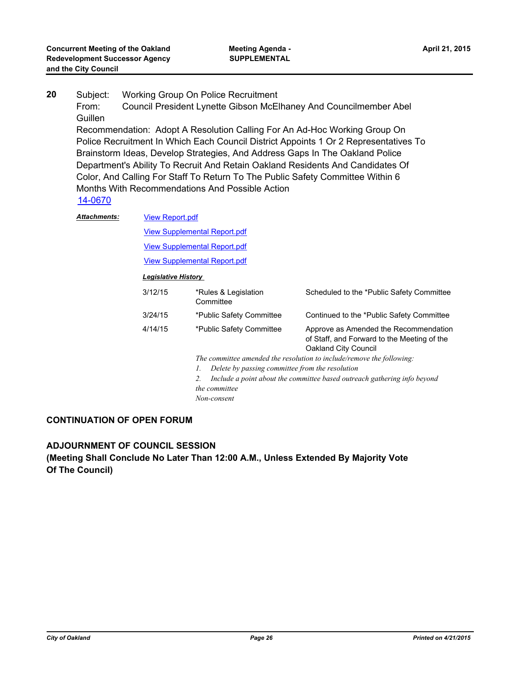- Subject: Working Group On Police Recruitment From: Council President Lynette Gibson McElhaney And Councilmember Abel Guillen Recommendation: Adopt A Resolution Calling For An Ad-Hoc Working Group On Police Recruitment In Which Each Council District Appoints 1 Or 2 Representatives To Brainstorm Ideas, Develop Strategies, And Address Gaps In The Oakland Police Department's Ability To Recruit And Retain Oakland Residents And Candidates Of Color, And Calling For Staff To Return To The Public Safety Committee Within 6 **20**
	- Months With Recommendations And Possible Action

[14-0670](http://oakland.legistar.com/gateway.aspx?m=l&id=/matter.aspx?key=24649)

| <b>Attachments:</b> | <b>View Report.pdf</b> |                                                                                                                                         |                                                                                                              |  |  |  |
|---------------------|------------------------|-----------------------------------------------------------------------------------------------------------------------------------------|--------------------------------------------------------------------------------------------------------------|--|--|--|
|                     |                        | <b>View Supplemental Report.pdf</b>                                                                                                     |                                                                                                              |  |  |  |
|                     |                        | <b>View Supplemental Report.pdf</b>                                                                                                     |                                                                                                              |  |  |  |
|                     |                        | <b>View Supplemental Report.pdf</b>                                                                                                     |                                                                                                              |  |  |  |
|                     |                        | <b>Legislative History</b>                                                                                                              |                                                                                                              |  |  |  |
|                     | 3/12/15                | *Rules & Legislation<br>Committee                                                                                                       | Scheduled to the *Public Safety Committee                                                                    |  |  |  |
|                     | 3/24/15                | *Public Safety Committee                                                                                                                | Continued to the *Public Safety Committee                                                                    |  |  |  |
|                     | 4/14/15                | *Public Safety Committee                                                                                                                | Approve as Amended the Recommendation<br>of Staff, and Forward to the Meeting of the<br>Oakland City Council |  |  |  |
|                     |                        | The committee amended the resolution to include/remove the following:                                                                   |                                                                                                              |  |  |  |
|                     |                        | Delete by passing committee from the resolution<br>Ι.<br>Include a point about the committee based outreach gathering info beyond<br>2. |                                                                                                              |  |  |  |
|                     |                        |                                                                                                                                         |                                                                                                              |  |  |  |
|                     |                        | the committee                                                                                                                           |                                                                                                              |  |  |  |
|                     |                        | Non-consent                                                                                                                             |                                                                                                              |  |  |  |

#### **CONTINUATION OF OPEN FORUM**

**ADJOURNMENT OF COUNCIL SESSION (Meeting Shall Conclude No Later Than 12:00 A.M., Unless Extended By Majority Vote Of The Council)**